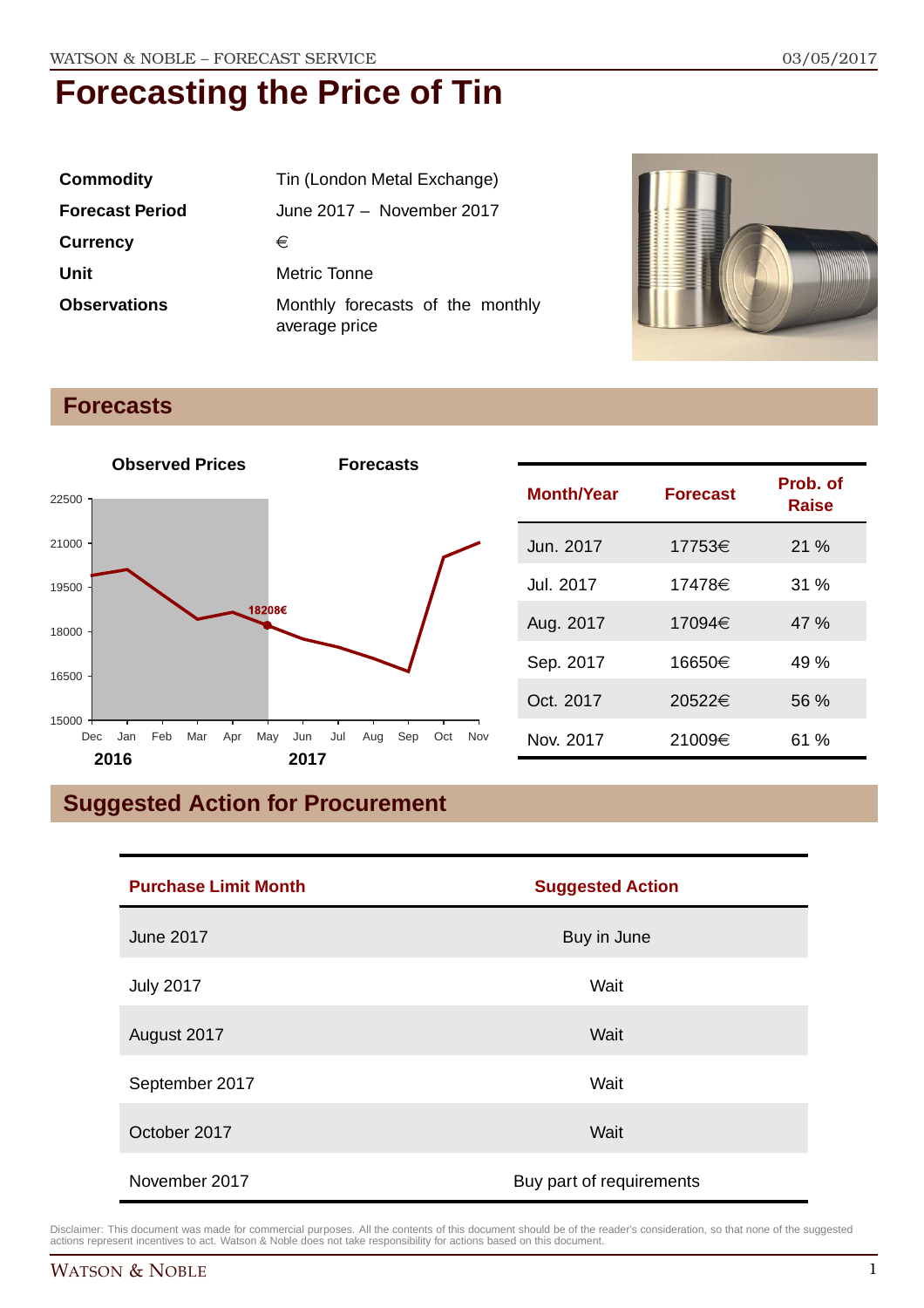| <b>Commodity</b>       | Tin (London Metal Exchange)                       |
|------------------------|---------------------------------------------------|
| <b>Forecast Period</b> | June 2017 - November 2017                         |
| <b>Currency</b>        | €                                                 |
| Unit                   | Metric Tonne                                      |
| <b>Observations</b>    | Monthly forecasts of the monthly<br>average price |



### **Forecasts**



## **Suggested Action for Procurement**

| <b>Purchase Limit Month</b> | <b>Suggested Action</b>  |
|-----------------------------|--------------------------|
| <b>June 2017</b>            | Buy in June              |
| <b>July 2017</b>            | Wait                     |
| August 2017                 | Wait                     |
| September 2017              | Wait                     |
| October 2017                | Wait                     |
| November 2017               | Buy part of requirements |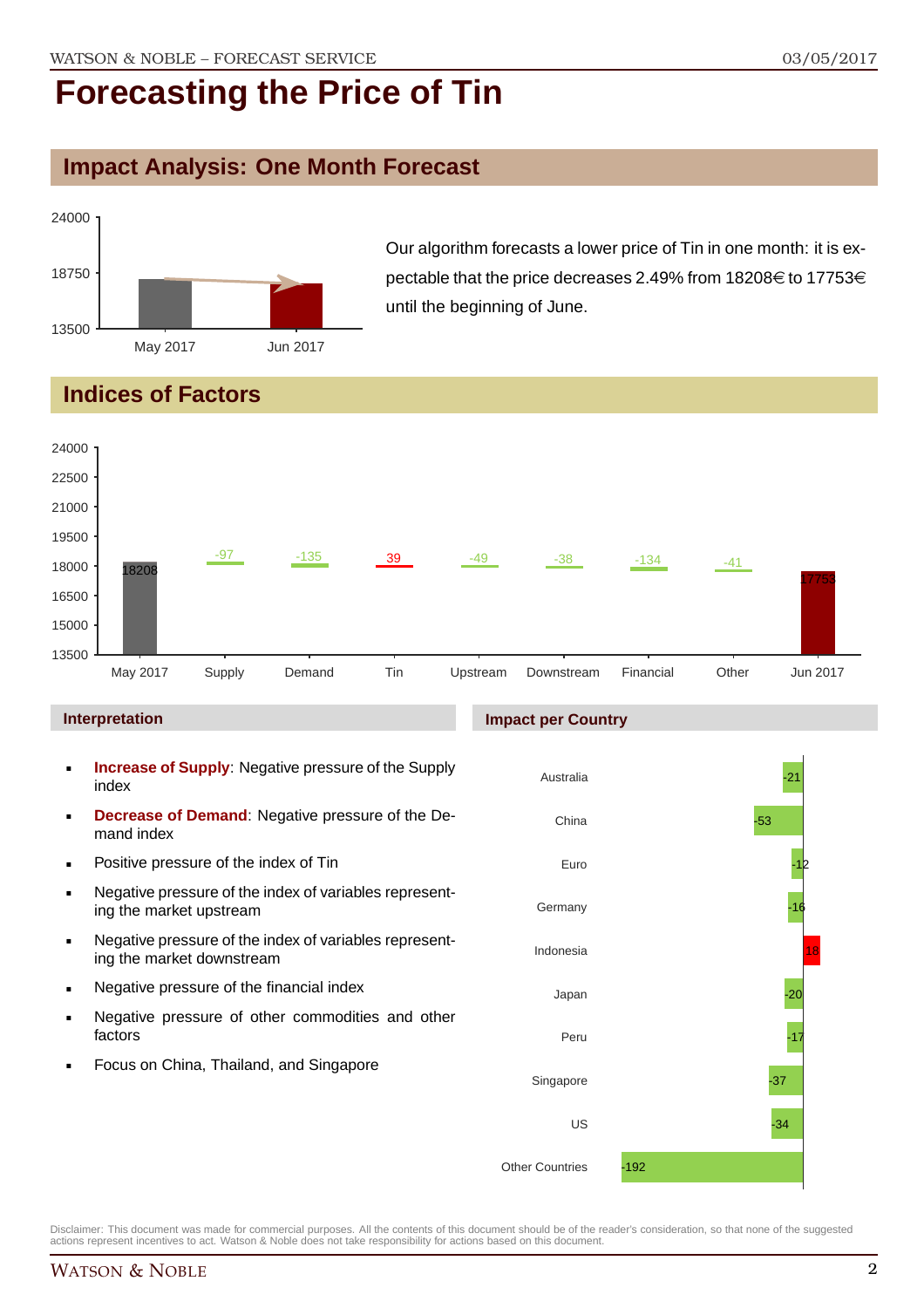### **Impact Analysis: One Month Forecast**



Our algorithm forecasts a lower price of Tin in one month: it is expectable that the price decreases 2.49% from 18208 $\in$  to 17753 $\in$ until the beginning of June.

## **Indices of Factors**



### **Interpretation**

- **Increase of Supply**: Negative pressure of the Supply index
- **Decrease of Demand**: Negative pressure of the Demand index
- **Positive pressure of the index of Tin**
- Negative pressure of the index of variables representing the market upstream
- Negative pressure of the index of variables representing the market downstream
- **Negative pressure of the financial index**
- **Negative pressure of other commodities and other** factors
- Focus on China, Thailand, and Singapore

#### **Impact per Country**

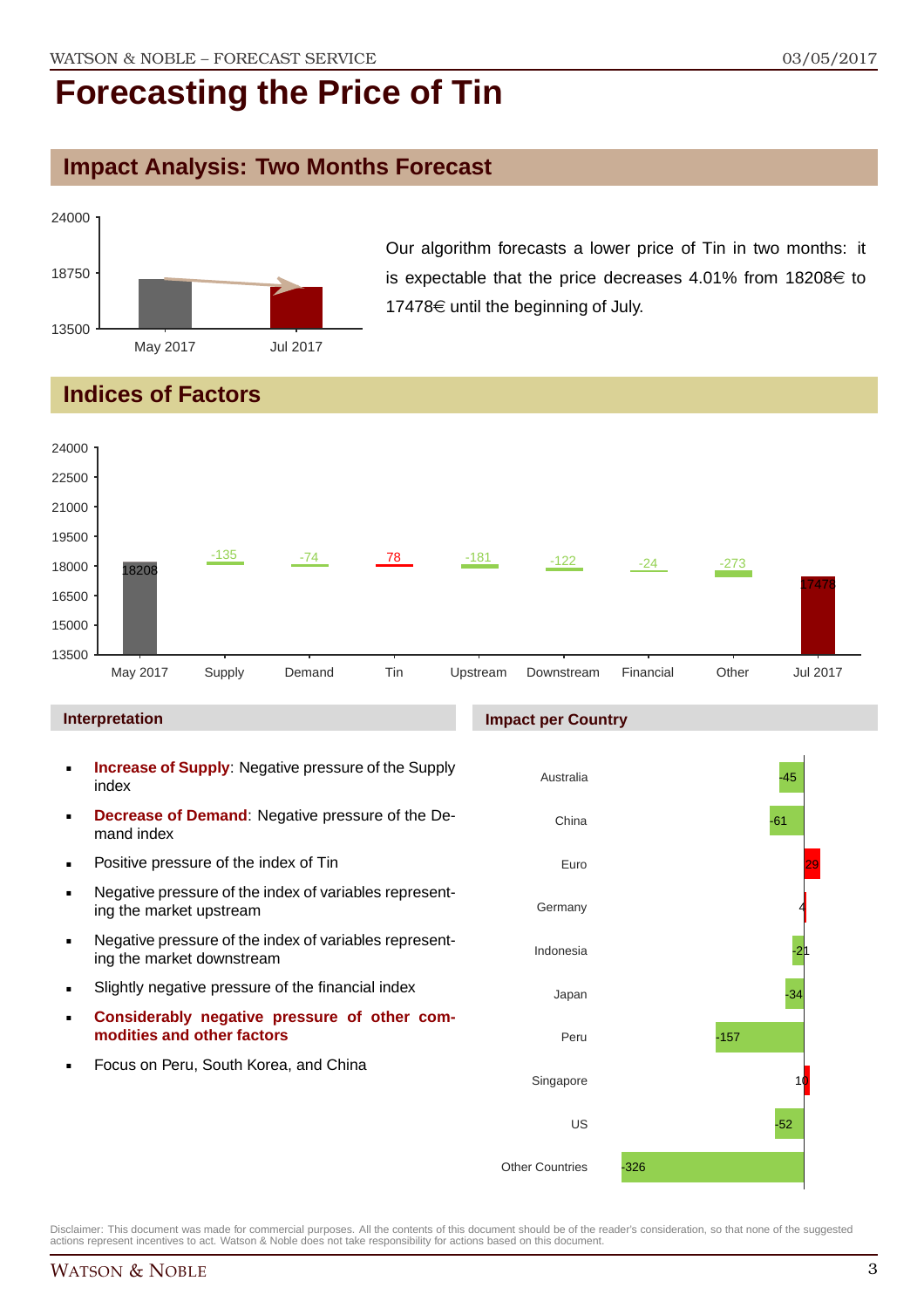### **Impact Analysis: Two Months Forecast**



Our algorithm forecasts a lower price of Tin in two months: it is expectable that the price decreases  $4.01\%$  from  $18208 \in \mathfrak{t}$  to 17478 $\in$  until the beginning of July.

### **Indices of Factors**



- **Considerably negative pressure of other commodities and other factors**
- Focus on Peru, South Korea, and China

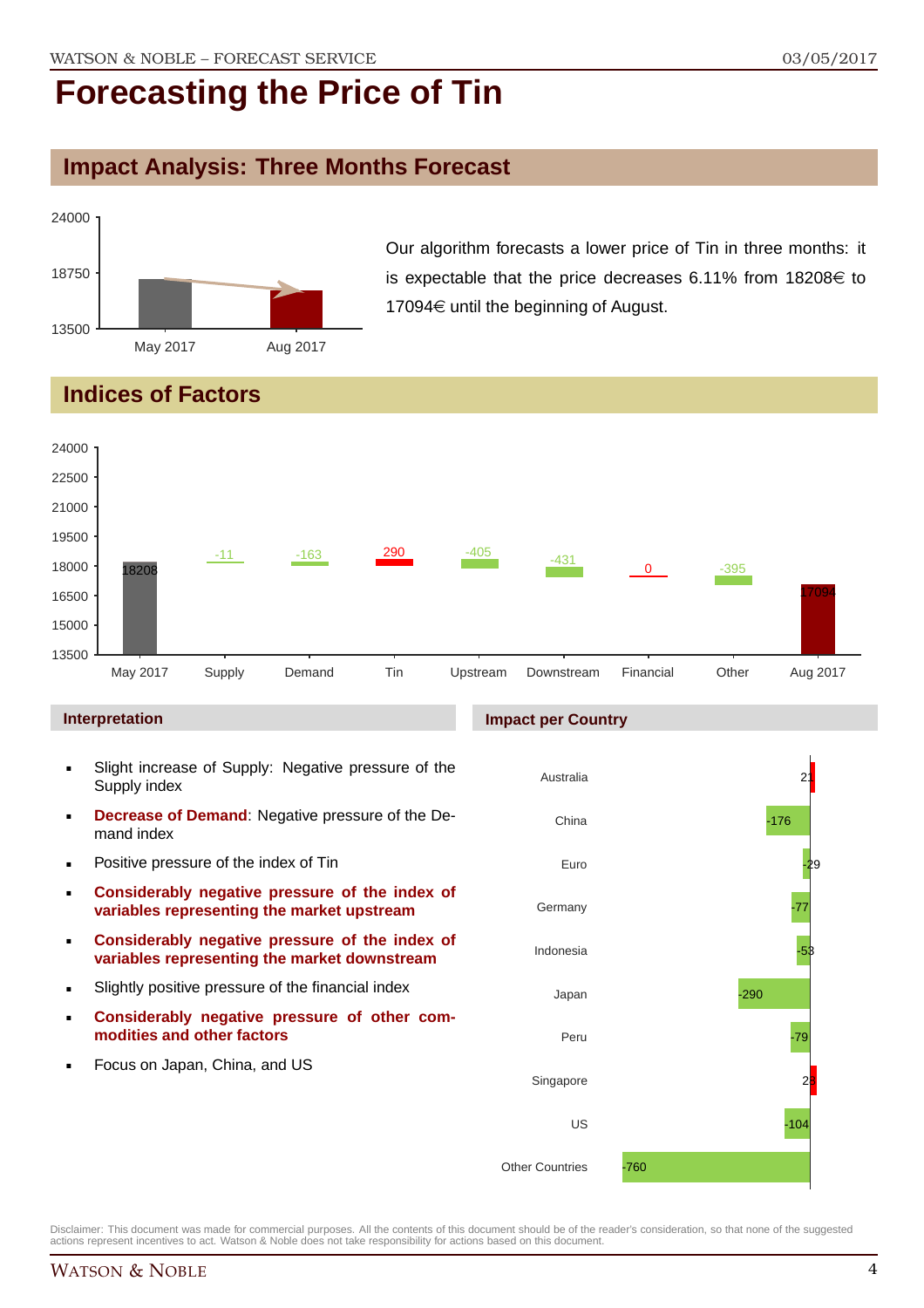### **Impact Analysis: Three Months Forecast**



Our algorithm forecasts a lower price of Tin in three months: it is expectable that the price decreases 6.11% from 18208 $\in$  to 17094 $\in$  until the beginning of August.

### **Indices of Factors**



#### **Interpretation**

- Slight increase of Supply: Negative pressure of the Supply index
- **Decrease of Demand**: Negative pressure of the Demand index
- **Positive pressure of the index of Tin**
- **Considerably negative pressure of the index of variables representing the market upstream**
- **Considerably negative pressure of the index of variables representing the market downstream**
- Slightly positive pressure of the financial index
- **Considerably negative pressure of other commodities and other factors**
- Focus on Japan, China, and US

#### **Impact per Country**

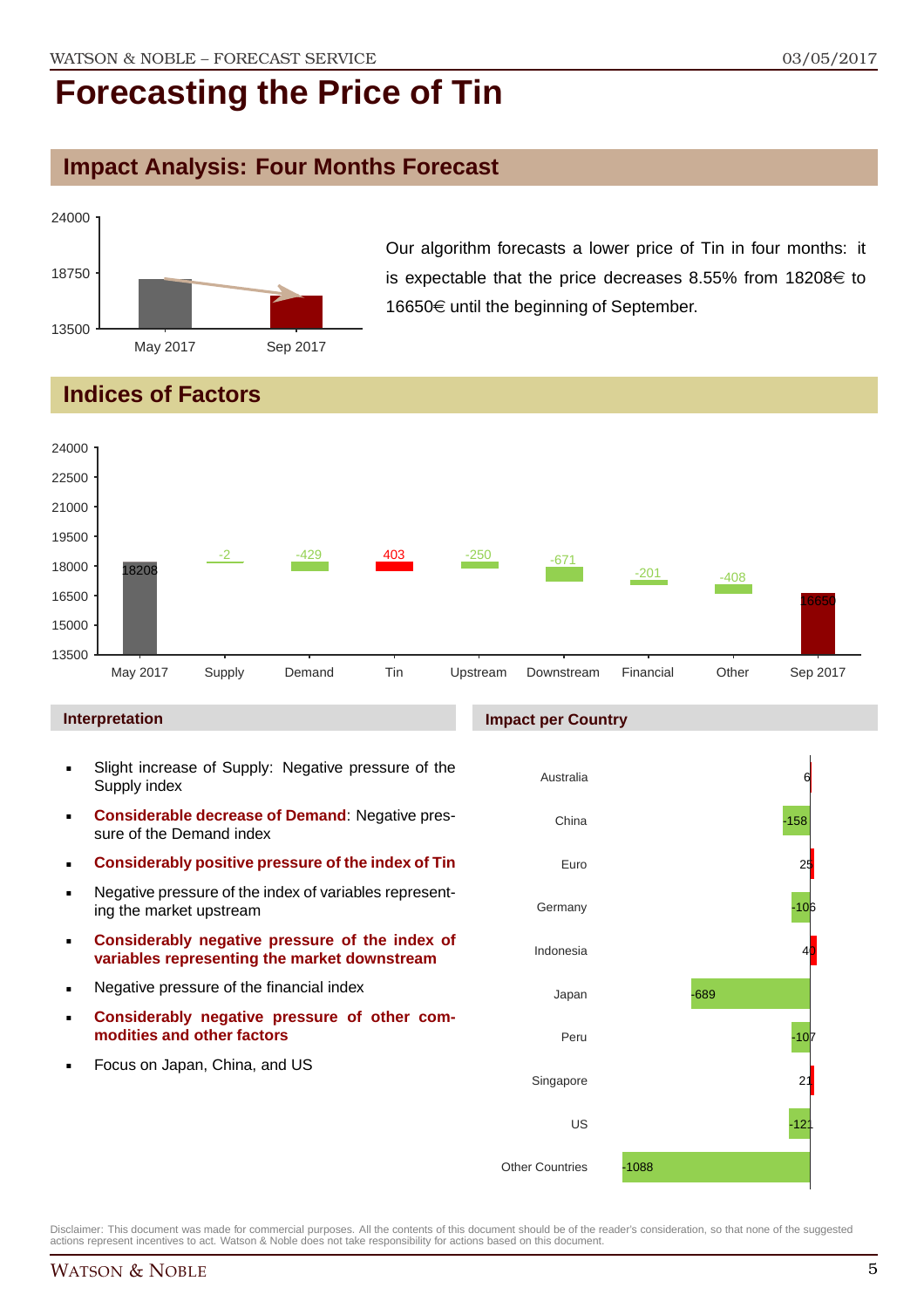### **Impact Analysis: Four Months Forecast**



Our algorithm forecasts a lower price of Tin in four months: it is expectable that the price decreases 8.55% from 18208 $\in$  to 16650€ until the beginning of September.

### **Indices of Factors**



#### **Interpretation**

- Slight increase of Supply: Negative pressure of the Supply index
- **Considerable decrease of Demand**: Negative pressure of the Demand index
- **Considerably positive pressure of the index of Tin**
- Negative pressure of the index of variables representing the market upstream
- **Considerably negative pressure of the index of variables representing the market downstream**
- **Negative pressure of the financial index**
- **Considerably negative pressure of other commodities and other factors**
- Focus on Japan, China, and US

### **Impact per Country**

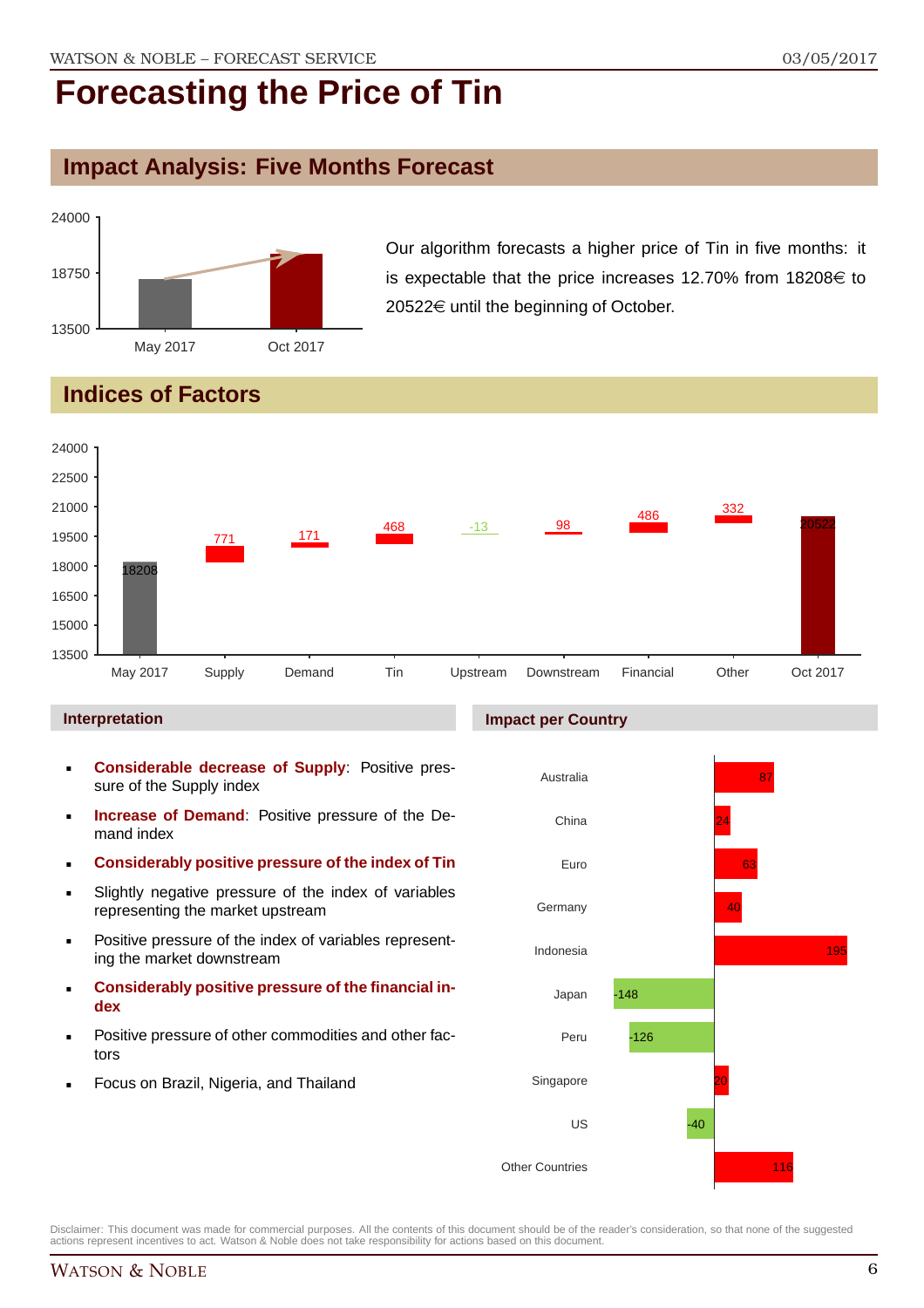### **Impact Analysis: Five Months Forecast**



Our algorithm forecasts a higher price of Tin in five months: it is expectable that the price increases 12.70% from 18208 $\in$  to  $20522 \in$  until the beginning of October.

## **Indices of Factors**



### **Interpretation**

- **Considerable decrease of Supply**: Positive pressure of the Supply index
- **Increase of Demand**: Positive pressure of the Demand index
- **Considerably positive pressure of the index of Tin**
- Slightly negative pressure of the index of variables representing the market upstream
- **Positive pressure of the index of variables represent**ing the market downstream
- **Considerably positive pressure of the financial index**
- Positive pressure of other commodities and other factors
- Focus on Brazil, Nigeria, and Thailand

#### **Impact per Country**

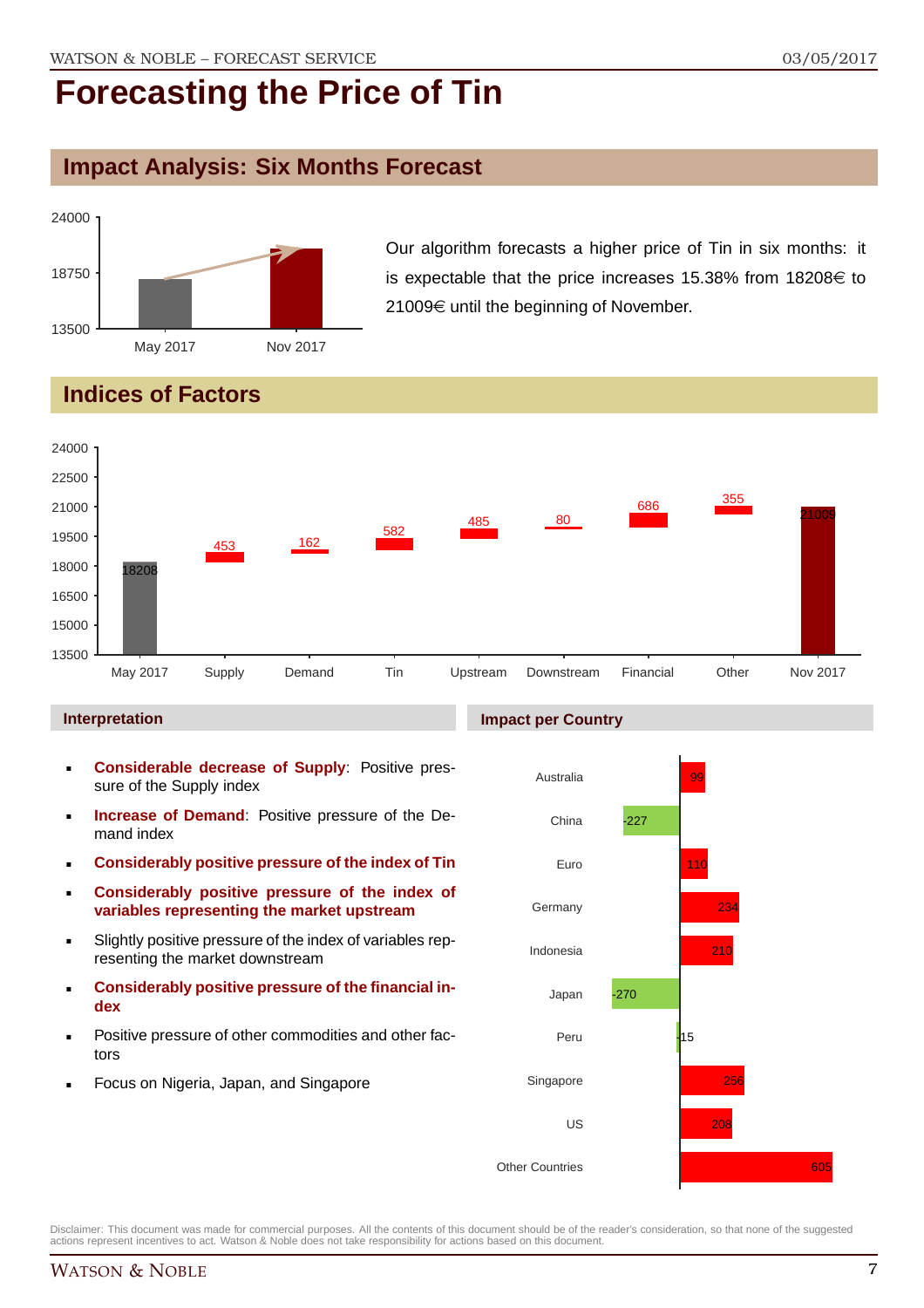### **Impact Analysis: Six Months Forecast**



Our algorithm forecasts a higher price of Tin in six months: it is expectable that the price increases 15.38% from 18208 $\in$  to 21009€ until the beginning of November.

## **Indices of Factors**



### **Interpretation**

- **Considerable decrease of Supply**: Positive pressure of the Supply index
- **Increase of Demand**: Positive pressure of the Demand index
- **Considerably positive pressure of the index of Tin**
- **Considerably positive pressure of the index of variables representing the market upstream**
- Slightly positive pressure of the index of variables representing the market downstream
- **Considerably positive pressure of the financial index**
- Positive pressure of other commodities and other factors
- Focus on Nigeria, Japan, and Singapore

### **Impact per Country**

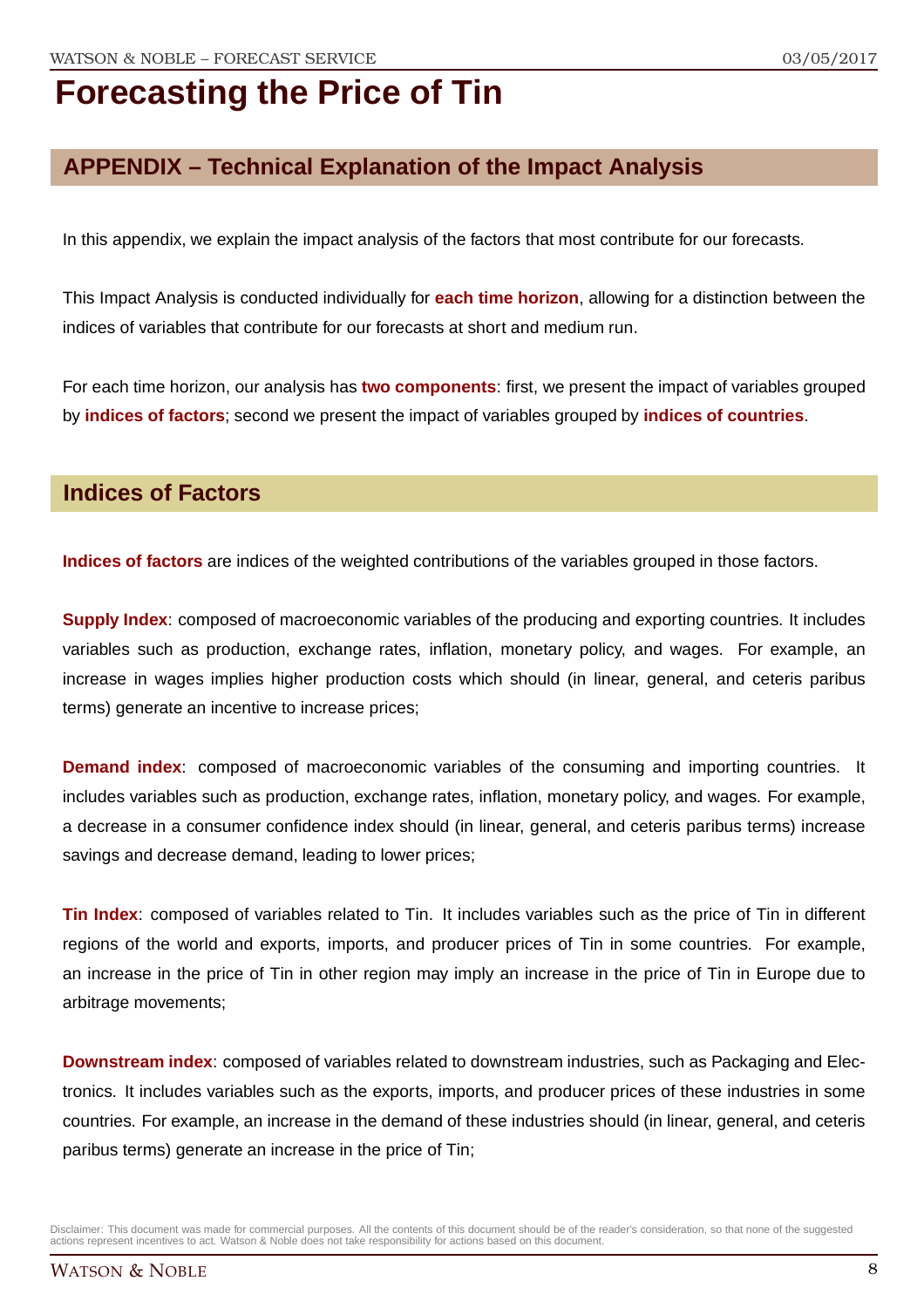### **APPENDIX – Technical Explanation of the Impact Analysis**

In this appendix, we explain the impact analysis of the factors that most contribute for our forecasts.

This Impact Analysis is conducted individually for **each time horizon**, allowing for a distinction between the indices of variables that contribute for our forecasts at short and medium run.

For each time horizon, our analysis has **two components**: first, we present the impact of variables grouped by **indices of factors**; second we present the impact of variables grouped by **indices of countries**.

### **Indices of Factors**

**Indices of factors** are indices of the weighted contributions of the variables grouped in those factors.

**Supply Index**: composed of macroeconomic variables of the producing and exporting countries. It includes variables such as production, exchange rates, inflation, monetary policy, and wages. For example, an increase in wages implies higher production costs which should (in linear, general, and ceteris paribus terms) generate an incentive to increase prices;

**Demand index**: composed of macroeconomic variables of the consuming and importing countries. It includes variables such as production, exchange rates, inflation, monetary policy, and wages. For example, a decrease in a consumer confidence index should (in linear, general, and ceteris paribus terms) increase savings and decrease demand, leading to lower prices;

**Tin Index**: composed of variables related to Tin. It includes variables such as the price of Tin in different regions of the world and exports, imports, and producer prices of Tin in some countries. For example, an increase in the price of Tin in other region may imply an increase in the price of Tin in Europe due to arbitrage movements;

**Downstream index**: composed of variables related to downstream industries, such as Packaging and Electronics. It includes variables such as the exports, imports, and producer prices of these industries in some countries. For example, an increase in the demand of these industries should (in linear, general, and ceteris paribus terms) generate an increase in the price of Tin;